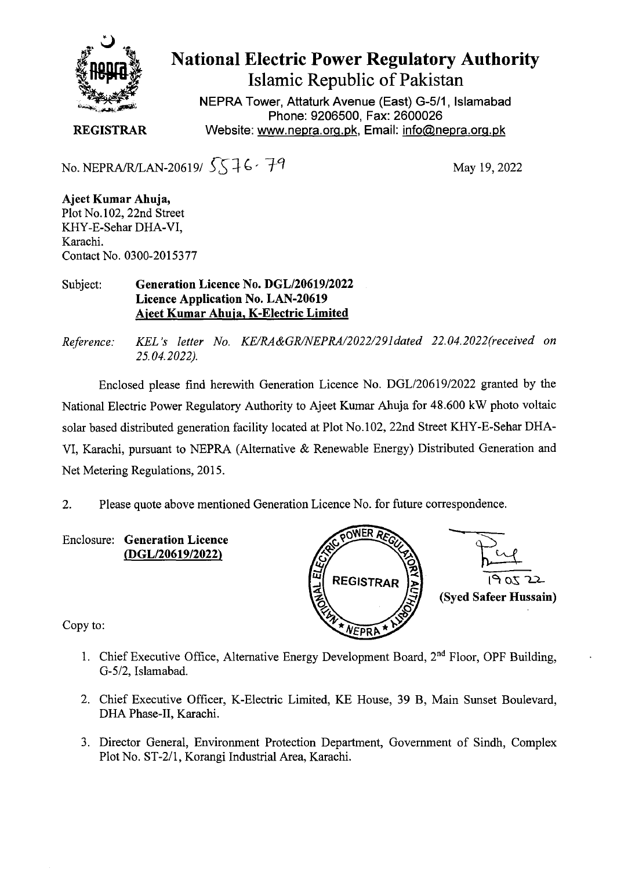

## **National Electric Power Regulatory Authority Islamic Republic of Pakistan**

**NEPRA Tower, Attaturk Avenue (East) G-511, Islamabad Phone: 9206500, Fax: 2600026 REGISTRAR** Website: www.nepra.org.pk, Email: info@nepra.org.pk

No. NEPRA/R/LAN-20619/  $5576 - 79$  May 19, 2022

**Ajeet Kumar Ahuja,**  Plot No.102, 22nd Street KHY-E-Sehar DHA-VI, Karachi. Contact No. 0300-2015377

## Subject: **Generation Licence** No. DGL/20619/2022 **Licence Application No.** LAN-20619 Ajeet Kumar **Ahuja,** K**-Electric Limited**

*Reference. KEL 's letter No. KE/RA&GR/NEPRA/2022/291dated 22.04.2022(received on 25.04.2022).* 

Enclosed please find herewith Generation Licence No. DGL/20619/2022 granted by the National Electric Power Regulatory Authority to Ajeet Kumar Ahuja for 48.600 kW photo voltaic solar based distributed generation facility located at Plot No.102, 22nd Street KHY-E-Sehar DHA-VI, Karachi, pursuant to NEPRA (Alternative & Renewable Energy) Distributed Generation and Net Metering Regulations, 2015.

2. Please quote above mentioned Generation Licence No. for future correspondence.

Enclosure: **Generation Licence (DGL/20619/2022)** 



Copy to:

- 1. Chief Executive Office, Alternative Energy Development Board,  $2<sup>nd</sup>$  Floor, OPF Building, G-5/2, Islamabad.
- 2. Chief Executive Officer, K-Electric Limited, KE House, 39 B, Main Sunset Boulevard, DHA Phase-Il, Karachi.
- 3. Director General, Environment Protection Department, Government of Sindh, Complex Plot No. ST-2/l, Korangi Industrial Area, Karachi.